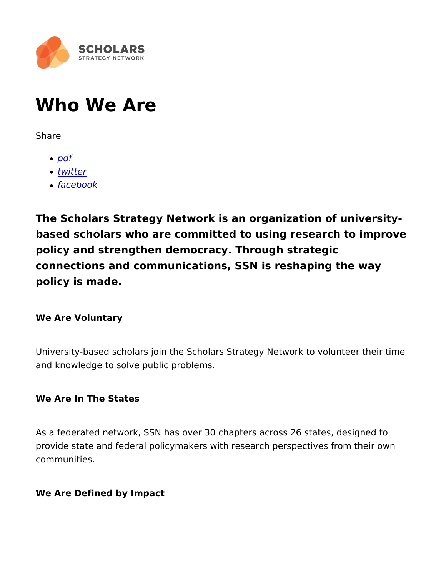# Who We Are

Share

- [pd](https://www.scholars.org/print/pdf/node/17154)f
- [twitt](https://twitter.com/intent/tweet?text=Who+We+Are https://www.scholars.org/staff)er
- [facebo](https://www.facebook.com/sharer/sharer.php?u=https://www.scholars.org/staff)ok

The Scholars Strategy Network is an organization of uni based scholars who are committed to using research to policy and strengthen democracy. Through strategic connections and communications, SSN is reshaping the v policy is made.

We Are Voluntary

University-based scholars join the Scholars Strategy Network to v and knowledge to solve public problems.

We Are In The States

As a federated network, SSN has over 30 chapters across 26 state provide state and federal policymakers with research perspectives communities.

We Are Defined by Impact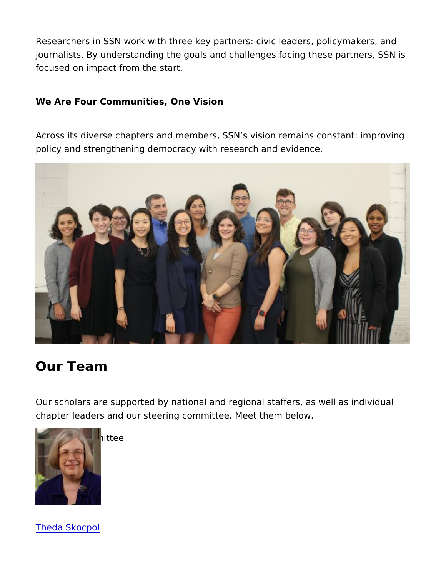Researchers in SSN work with three key partners: civic leaders, political journalists. By understanding the goals and challenges facing the focused on impact from the start.

We Are Four Communities, One Vision

Across its diverse chapters and members, SSN s vision remains c policy and strengthening democracy with research and evidence.

## Our Team

Our scholars are supported by national and regional staffers, as chapter leaders and our steering committee. Meet them below.

[Steering C](https://www.scholars.org/scholar/theda-skocpol)ommittee

[Theda Sko](https://www.scholars.org/scholar/theda-skocpol)cpol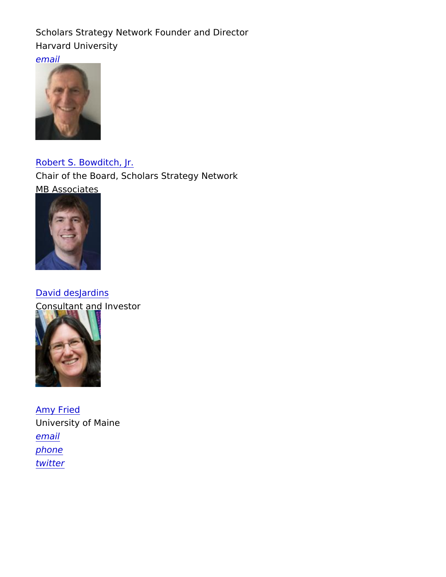Scholars Strategy Network Founder and Director Harvard University [ema](mailto:skocpol@fas.harvard.edu)il [phone](https://www.scholars.org/authenticated/robert-bowditch-jr)

[Robert S. Bowdi](https://www.scholars.org/authenticated/robert-bowditch-jr)tch, Jr. Chair of the Board, Scholars Strategy Network MB Associates [email](https://www.scholars.org/authenticated/david-desjardins)

[David desJa](https://www.scholars.org/authenticated/david-desjardins)rdins Consultant and Investor [email](https://www.scholars.org/regionalleader/amy-fried)

[Amy Fr](https://www.scholars.org/regionalleader/amy-fried)ied University of Maine [ema](mailto:amyfried@maine.edu)il [phon](tel:(207)581-1797)e [twitt](https://twitter.com/ASFried)er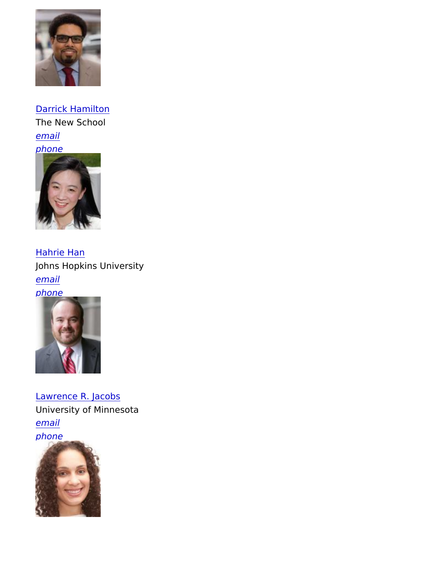#### [Darrick Ham](https://www.scholars.org/scholar/darrick-hamilton)ilton

The New School [ema](mailto:hamiltod@newschool.edu)il [phon](tel:(212)229-5400)e [twitter](https://www.scholars.org/scholar/hahrie-han)

[Hahrie H](https://www.scholars.org/scholar/hahrie-han)an Johns Hopkins University [ema](mailto:hahrie@jhu.edu)il [phon](tel:(781)283-2140)e [twitter](https://www.scholars.org/scholar/lawrence-jacobs)

[Lawrence R. J](https://www.scholars.org/scholar/lawrence-jacobs)acobs University of Minnesota [ema](mailto:ljacobs@umn.edu)il [phon](tel:(612)625-3384)e [twitter](https://www.scholars.org/scholar/hedwig-lee)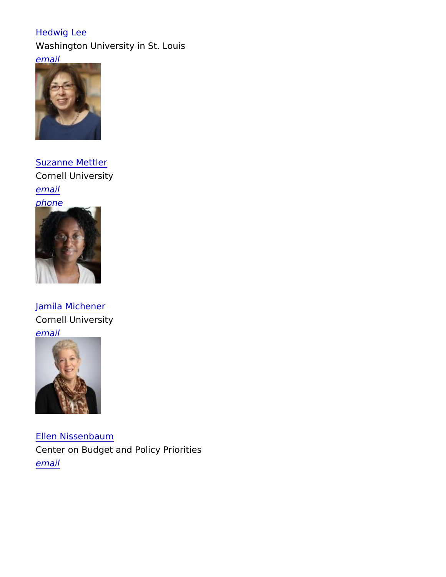[Hedwig](https://www.scholars.org/scholar/hedwig-lee) Lee Washington University in St. Louis [ema](mailto:hedwig.lee@wustl.edu)il [twitter](https://www.scholars.org/scholar/suzanne-mettler)

[Suzanne Me](https://www.scholars.org/scholar/suzanne-mettler)ttler Cornell University [ema](mailto:sbm24@cornell.edu)il [phon](tel:(607)255-3307)e **[twitter](https://www.scholars.org/scholar/jamila-michener)** 

[Jamila Mich](https://www.scholars.org/scholar/jamila-michener)ener Cornell University [ema](mailto:jm2362@cornell.edu)il [twitter](https://www.scholars.org/scholar/ellen-nissenbaum)

[Ellen Nissen](https://www.scholars.org/scholar/ellen-nissenbaum)baum

Center on Budget and Policy Priorities [ema](mailto:nissenbaum@cbpp.org)il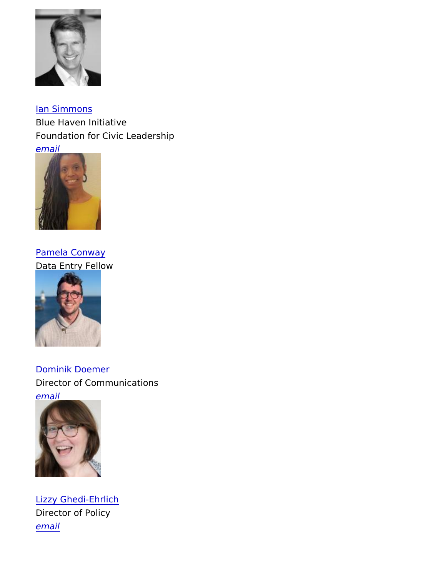[Ian Simm](https://www.scholars.org/authenticated/ian-simmons)ons Blue Haven Initiative Foundation for Civic Leadership [ema](mailto:admin@scholars.org)il [National S](https://www.scholars.org/fellow/pamela-conway)taff

[Pamela Con](https://www.scholars.org/fellow/pamela-conway)way Data Entry Fellow [email](https://www.scholars.org/staff/dominik-doemer)

[Dominik Doe](https://www.scholars.org/staff/dominik-doemer)mer Director of Communications [ema](mailto:dominik@scholarsstrategynetwork.org)il [phone](https://www.scholars.org/staff/lizzy-ghedi-ehrlich)

[Lizzy Ghedi-E](https://www.scholars.org/staff/lizzy-ghedi-ehrlich)hrlich Director of Policy [ema](mailto:lizzy@scholars.org)il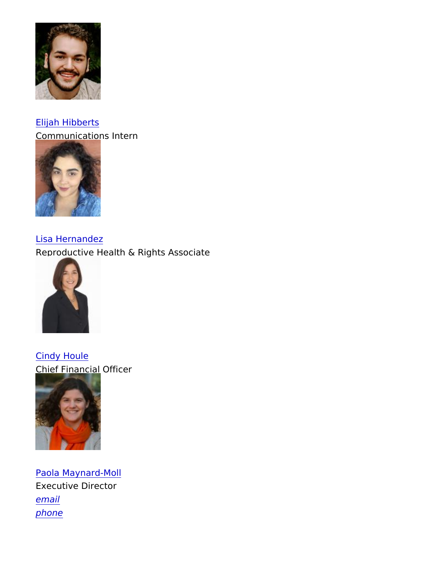#### [Elijah Hib](https://www.scholars.org/staff/elijah-hibberts)berts

Communications Intern [email](https://www.scholars.org/staff/lisa-hernandez)

[Lisa Herna](https://www.scholars.org/staff/lisa-hernandez)ndez Reproductive Health & Rights Associate [email](https://www.scholars.org/staff/cindy-houle)

[Cindy Ho](https://www.scholars.org/staff/cindy-houle)ule Chief Financial Officer [email](https://www.scholars.org/staff/paola-maynard-moll)

[Paola Maynar](https://www.scholars.org/staff/paola-maynard-moll)d-Moll Executive Director [ema](mailto:pao@scholars.org)il [phon](tel:(787)565-9321)e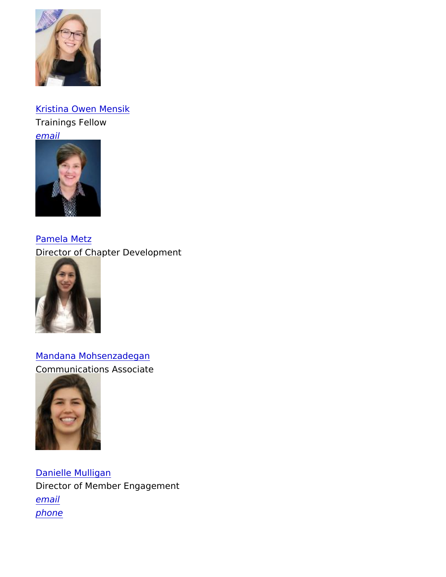### [Kristina Owen M](https://www.scholars.org/staff/kristina-mensik)ensik Trainings Fellow [ema](mailto:kristina@scholars.org)il [phone](https://www.scholars.org/staff/pamela-metz)

[Pamela M](https://www.scholars.org/staff/pamela-metz)etz Director of Chapter Development [email](https://www.scholars.org/staff/mandana-mohsenzadegan)

[Mandana Mohsenza](https://www.scholars.org/staff/mandana-mohsenzadegan)degan Communications Associate

[email](https://www.scholars.org/staff/danielle-mulligan)

[Danielle Mu](https://www.scholars.org/staff/danielle-mulligan)lligan Director of Member Engagement [ema](mailto:danielle@scholars.org)il [phon](tel:(847)767-3197)e